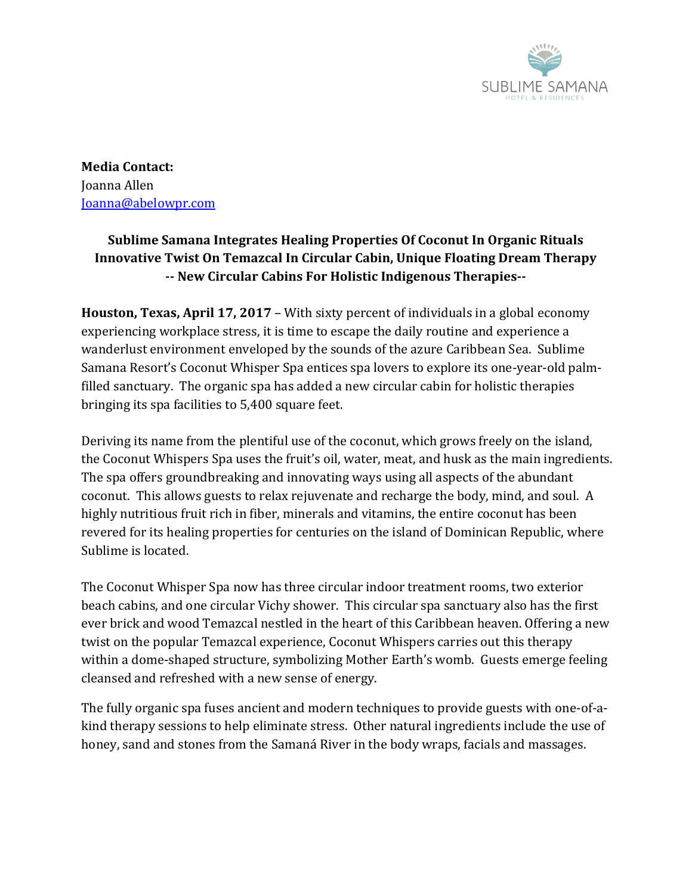

**Media Contact:** Joanna Allen [Joanna@abelowpr.com](mailto:Joanna@abelowpr.com)

## **Sublime Samana Integrates Healing Properties Of Coconut In Organic Rituals Innovative Twist On Temazcal In Circular Cabin, Unique Floating Dream Therapy -- New Circular Cabins For Holistic Indigenous Therapies--**

**Houston, Texas, April 17, 2017** – With sixty percent of individuals in a global economy experiencing workplace stress, it is time to escape the daily routine and experience a wanderlust environment enveloped by the sounds of the azure Caribbean Sea. Sublime Samana Resort's Coconut Whisper Spa entices spa lovers to explore its one-year-old palmfilled sanctuary. The organic spa has added a new circular cabin for holistic therapies bringing its spa facilities to 5,400 square feet.

Deriving its name from the plentiful use of the coconut, which grows freely on the island, the Coconut Whispers Spa uses the fruit's oil, water, meat, and husk as the main ingredients. The spa offers groundbreaking and innovating ways using all aspects of the abundant coconut. This allows guests to relax rejuvenate and recharge the body, mind, and soul. A highly nutritious fruit rich in fiber, minerals and vitamins, the entire coconut has been revered for its healing properties for centuries on the island of Dominican Republic, where Sublime is located.

The Coconut Whisper Spa now has three circular indoor treatment rooms, two exterior beach cabins, and one circular Vichy shower. This circular spa sanctuary also has the first ever brick and wood Temazcal nestled in the heart of this Caribbean heaven. Offering a new twist on the popular Temazcal experience, Coconut Whispers carries out this therapy within a dome-shaped structure, symbolizing Mother Earth's womb. Guests emerge feeling cleansed and refreshed with a new sense of energy.

The fully organic spa fuses ancient and modern techniques to provide guests with one-of-akind therapy sessions to help eliminate stress. Other natural ingredients include the use of honey, sand and stones from the Samaná River in the body wraps, facials and massages.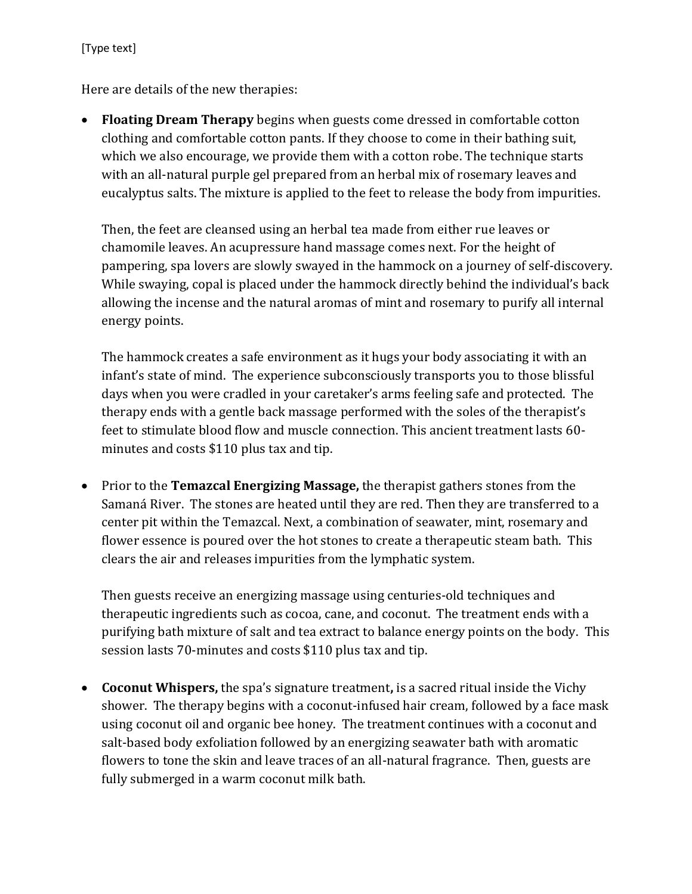Here are details of the new therapies:

 **Floating Dream Therapy** begins when guests come dressed in comfortable cotton clothing and comfortable cotton pants. If they choose to come in their bathing suit, which we also encourage, we provide them with a cotton robe. The technique starts with an all-natural purple gel prepared from an herbal mix of rosemary leaves and eucalyptus salts. The mixture is applied to the feet to release the body from impurities.

Then, the feet are cleansed using an herbal tea made from either rue leaves or chamomile leaves. An acupressure hand massage comes next. For the height of pampering, spa lovers are slowly swayed in the hammock on a journey of self-discovery. While swaying, copal is placed under the hammock directly behind the individual's back allowing the incense and the natural aromas of mint and rosemary to purify all internal energy points.

The hammock creates a safe environment as it hugs your body associating it with an infant's state of mind. The experience subconsciously transports you to those blissful days when you were cradled in your caretaker's arms feeling safe and protected. The therapy ends with a gentle back massage performed with the soles of the therapist's feet to stimulate blood flow and muscle connection. This ancient treatment lasts 60 minutes and costs \$110 plus tax and tip.

 Prior to the **Temazcal Energizing Massage,** the therapist gathers stones from the Samaná River. The stones are heated until they are red. Then they are transferred to a center pit within the Temazcal. Next, a combination of seawater, mint, rosemary and flower essence is poured over the hot stones to create a therapeutic steam bath. This clears the air and releases impurities from the lymphatic system.

Then guests receive an energizing massage using centuries-old techniques and therapeutic ingredients such as cocoa, cane, and coconut. The treatment ends with a purifying bath mixture of salt and tea extract to balance energy points on the body. This session lasts 70-minutes and costs \$110 plus tax and tip.

 **Coconut Whispers,** the spa's signature treatment**,** is a sacred ritual inside the Vichy shower. The therapy begins with a coconut-infused hair cream, followed by a face mask using coconut oil and organic bee honey. The treatment continues with a coconut and salt-based body exfoliation followed by an energizing seawater bath with aromatic flowers to tone the skin and leave traces of an all-natural fragrance. Then, guests are fully submerged in a warm coconut milk bath.